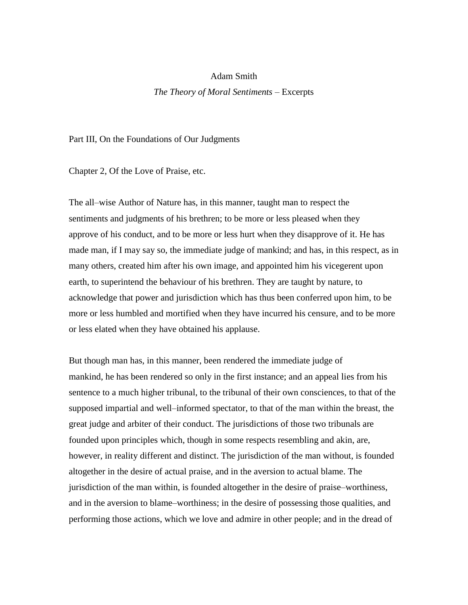## Adam Smith

## *The Theory of Moral Sentiments* – Excerpts

Part III, On the Foundations of Our Judgments

Chapter 2, Of the Love of Praise, etc.

The all–wise Author of Nature has, in this manner, taught man to respect the sentiments and judgments of his brethren; to be more or less pleased when they approve of his conduct, and to be more or less hurt when they disapprove of it. He has made man, if I may say so, the immediate judge of mankind; and has, in this respect, as in many others, created him after his own image, and appointed him his vicegerent upon earth, to superintend the behaviour of his brethren. They are taught by nature, to acknowledge that power and jurisdiction which has thus been conferred upon him, to be more or less humbled and mortified when they have incurred his censure, and to be more or less elated when they have obtained his applause.

But though man has, in this manner, been rendered the immediate judge of mankind, he has been rendered so only in the first instance; and an appeal lies from his sentence to a much higher tribunal, to the tribunal of their own consciences, to that of the supposed impartial and well–informed spectator, to that of the man within the breast, the great judge and arbiter of their conduct. The jurisdictions of those two tribunals are founded upon principles which, though in some respects resembling and akin, are, however, in reality different and distinct. The jurisdiction of the man without, is founded altogether in the desire of actual praise, and in the aversion to actual blame. The jurisdiction of the man within, is founded altogether in the desire of praise–worthiness, and in the aversion to blame–worthiness; in the desire of possessing those qualities, and performing those actions, which we love and admire in other people; and in the dread of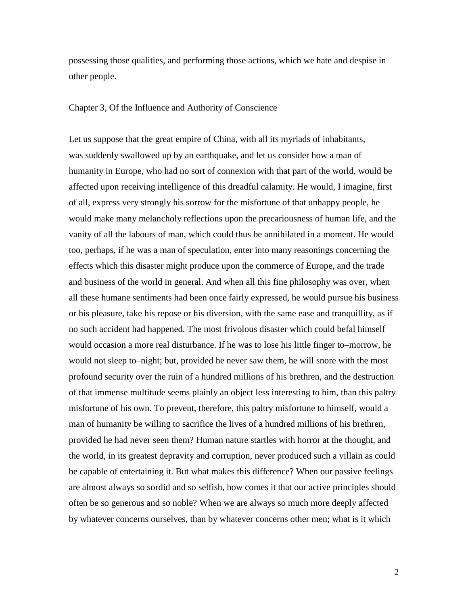possessing those qualities, and performing those actions, which we hate and despise in other people.

## Chapter 3, Of the Influence and Authority of Conscience

Let us suppose that the great empire of China, with all its myriads of inhabitants, was suddenly swallowed up by an earthquake, and let us consider how a man of humanity in Europe, who had no sort of connexion with that part of the world, would be affected upon receiving intelligence of this dreadful calamity. He would, I imagine, first of all, express very strongly his sorrow for the misfortune of that unhappy people, he would make many melancholy reflections upon the precariousness of human life, and the vanity of all the labours of man, which could thus be annihilated in a moment. He would too, perhaps, if he was a man of speculation, enter into many reasonings concerning the effects which this disaster might produce upon the commerce of Europe, and the trade and business of the world in general. And when all this fine philosophy was over, when all these humane sentiments had been once fairly expressed, he would pursue his business or his pleasure, take his repose or his diversion, with the same ease and tranquillity, as if no such accident had happened. The most frivolous disaster which could befal himself would occasion a more real disturbance. If he was to lose his little finger to–morrow, he would not sleep to–night; but, provided he never saw them, he will snore with the most profound security over the ruin of a hundred millions of his brethren, and the destruction of that immense multitude seems plainly an object less interesting to him, than this paltry misfortune of his own. To prevent, therefore, this paltry misfortune to himself, would a man of humanity be willing to sacrifice the lives of a hundred millions of his brethren, provided he had never seen them? Human nature startles with horror at the thought, and the world, in its greatest depravity and corruption, never produced such a villain as could be capable of entertaining it. But what makes this difference? When our passive feelings are almost always so sordid and so selfish, how comes it that our active principles should often be so generous and so noble? When we are always so much more deeply affected by whatever concerns ourselves, than by whatever concerns other men; what is it which

2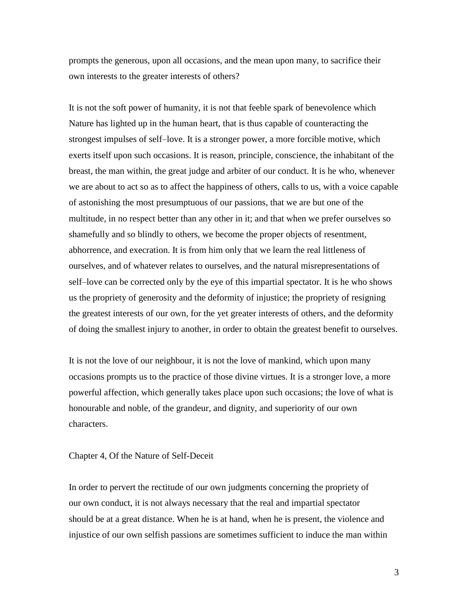prompts the generous, upon all occasions, and the mean upon many, to sacrifice their own interests to the greater interests of others?

It is not the soft power of humanity, it is not that feeble spark of benevolence which Nature has lighted up in the human heart, that is thus capable of counteracting the strongest impulses of self–love. It is a stronger power, a more forcible motive, which exerts itself upon such occasions. It is reason, principle, conscience, the inhabitant of the breast, the man within, the great judge and arbiter of our conduct. It is he who, whenever we are about to act so as to affect the happiness of others, calls to us, with a voice capable of astonishing the most presumptuous of our passions, that we are but one of the multitude, in no respect better than any other in it; and that when we prefer ourselves so shamefully and so blindly to others, we become the proper objects of resentment, abhorrence, and execration. It is from him only that we learn the real littleness of ourselves, and of whatever relates to ourselves, and the natural misrepresentations of self–love can be corrected only by the eye of this impartial spectator. It is he who shows us the propriety of generosity and the deformity of injustice; the propriety of resigning the greatest interests of our own, for the yet greater interests of others, and the deformity of doing the smallest injury to another, in order to obtain the greatest benefit to ourselves.

It is not the love of our neighbour, it is not the love of mankind, which upon many occasions prompts us to the practice of those divine virtues. It is a stronger love, a more powerful affection, which generally takes place upon such occasions; the love of what is honourable and noble, of the grandeur, and dignity, and superiority of our own characters.

## Chapter 4, Of the Nature of Self-Deceit

In order to pervert the rectitude of our own judgments concerning the propriety of our own conduct, it is not always necessary that the real and impartial spectator should be at a great distance. When he is at hand, when he is present, the violence and injustice of our own selfish passions are sometimes sufficient to induce the man within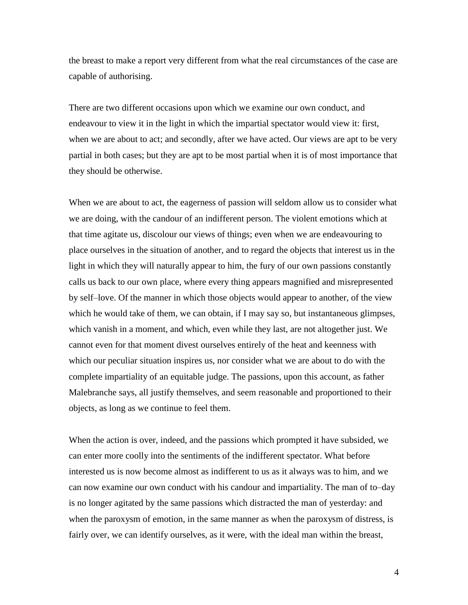the breast to make a report very different from what the real circumstances of the case are capable of authorising.

There are two different occasions upon which we examine our own conduct, and endeavour to view it in the light in which the impartial spectator would view it: first, when we are about to act; and secondly, after we have acted. Our views are apt to be very partial in both cases; but they are apt to be most partial when it is of most importance that they should be otherwise.

When we are about to act, the eagerness of passion will seldom allow us to consider what we are doing, with the candour of an indifferent person. The violent emotions which at that time agitate us, discolour our views of things; even when we are endeavouring to place ourselves in the situation of another, and to regard the objects that interest us in the light in which they will naturally appear to him, the fury of our own passions constantly calls us back to our own place, where every thing appears magnified and misrepresented by self–love. Of the manner in which those objects would appear to another, of the view which he would take of them, we can obtain, if I may say so, but instantaneous glimpses, which vanish in a moment, and which, even while they last, are not altogether just. We cannot even for that moment divest ourselves entirely of the heat and keenness with which our peculiar situation inspires us, nor consider what we are about to do with the complete impartiality of an equitable judge. The passions, upon this account, as father Malebranche says, all justify themselves, and seem reasonable and proportioned to their objects, as long as we continue to feel them.

When the action is over, indeed, and the passions which prompted it have subsided, we can enter more coolly into the sentiments of the indifferent spectator. What before interested us is now become almost as indifferent to us as it always was to him, and we can now examine our own conduct with his candour and impartiality. The man of to–day is no longer agitated by the same passions which distracted the man of yesterday: and when the paroxysm of emotion, in the same manner as when the paroxysm of distress, is fairly over, we can identify ourselves, as it were, with the ideal man within the breast,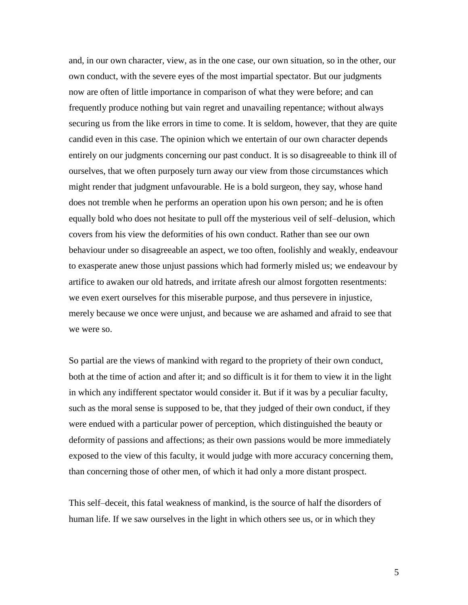and, in our own character, view, as in the one case, our own situation, so in the other, our own conduct, with the severe eyes of the most impartial spectator. But our judgments now are often of little importance in comparison of what they were before; and can frequently produce nothing but vain regret and unavailing repentance; without always securing us from the like errors in time to come. It is seldom, however, that they are quite candid even in this case. The opinion which we entertain of our own character depends entirely on our judgments concerning our past conduct. It is so disagreeable to think ill of ourselves, that we often purposely turn away our view from those circumstances which might render that judgment unfavourable. He is a bold surgeon, they say, whose hand does not tremble when he performs an operation upon his own person; and he is often equally bold who does not hesitate to pull off the mysterious veil of self–delusion, which covers from his view the deformities of his own conduct. Rather than see our own behaviour under so disagreeable an aspect, we too often, foolishly and weakly, endeavour to exasperate anew those unjust passions which had formerly misled us; we endeavour by artifice to awaken our old hatreds, and irritate afresh our almost forgotten resentments: we even exert ourselves for this miserable purpose, and thus persevere in injustice, merely because we once were unjust, and because we are ashamed and afraid to see that we were so.

So partial are the views of mankind with regard to the propriety of their own conduct, both at the time of action and after it; and so difficult is it for them to view it in the light in which any indifferent spectator would consider it. But if it was by a peculiar faculty, such as the moral sense is supposed to be, that they judged of their own conduct, if they were endued with a particular power of perception, which distinguished the beauty or deformity of passions and affections; as their own passions would be more immediately exposed to the view of this faculty, it would judge with more accuracy concerning them, than concerning those of other men, of which it had only a more distant prospect.

This self–deceit, this fatal weakness of mankind, is the source of half the disorders of human life. If we saw ourselves in the light in which others see us, or in which they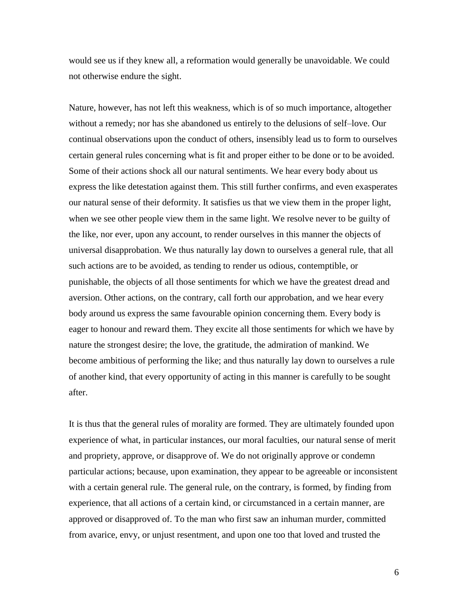would see us if they knew all, a reformation would generally be unavoidable. We could not otherwise endure the sight.

Nature, however, has not left this weakness, which is of so much importance, altogether without a remedy; nor has she abandoned us entirely to the delusions of self–love. Our continual observations upon the conduct of others, insensibly lead us to form to ourselves certain general rules concerning what is fit and proper either to be done or to be avoided. Some of their actions shock all our natural sentiments. We hear every body about us express the like detestation against them. This still further confirms, and even exasperates our natural sense of their deformity. It satisfies us that we view them in the proper light, when we see other people view them in the same light. We resolve never to be guilty of the like, nor ever, upon any account, to render ourselves in this manner the objects of universal disapprobation. We thus naturally lay down to ourselves a general rule, that all such actions are to be avoided, as tending to render us odious, contemptible, or punishable, the objects of all those sentiments for which we have the greatest dread and aversion. Other actions, on the contrary, call forth our approbation, and we hear every body around us express the same favourable opinion concerning them. Every body is eager to honour and reward them. They excite all those sentiments for which we have by nature the strongest desire; the love, the gratitude, the admiration of mankind. We become ambitious of performing the like; and thus naturally lay down to ourselves a rule of another kind, that every opportunity of acting in this manner is carefully to be sought after.

It is thus that the general rules of morality are formed. They are ultimately founded upon experience of what, in particular instances, our moral faculties, our natural sense of merit and propriety, approve, or disapprove of. We do not originally approve or condemn particular actions; because, upon examination, they appear to be agreeable or inconsistent with a certain general rule. The general rule, on the contrary, is formed, by finding from experience, that all actions of a certain kind, or circumstanced in a certain manner, are approved or disapproved of. To the man who first saw an inhuman murder, committed from avarice, envy, or unjust resentment, and upon one too that loved and trusted the

6